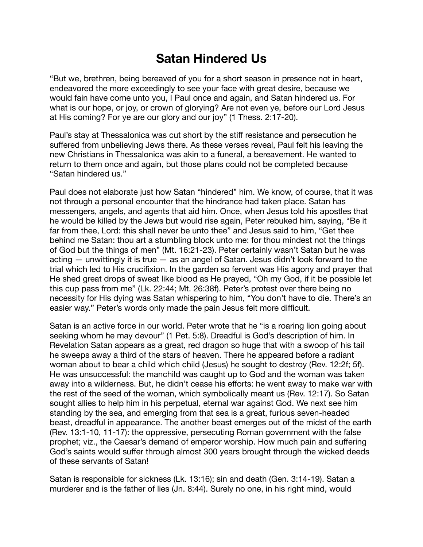## **Satan Hindered Us**

"But we, brethren, being bereaved of you for a short season in presence not in heart, endeavored the more exceedingly to see your face with great desire, because we would fain have come unto you, I Paul once and again, and Satan hindered us. For what is our hope, or joy, or crown of glorying? Are not even ye, before our Lord Jesus at His coming? For ye are our glory and our joy" (1 Thess. 2:17-20).

Paul's stay at Thessalonica was cut short by the stiff resistance and persecution he suffered from unbelieving Jews there. As these verses reveal, Paul felt his leaving the new Christians in Thessalonica was akin to a funeral, a bereavement. He wanted to return to them once and again, but those plans could not be completed because "Satan hindered us."

Paul does not elaborate just how Satan "hindered" him. We know, of course, that it was not through a personal encounter that the hindrance had taken place. Satan has messengers, angels, and agents that aid him. Once, when Jesus told his apostles that he would be killed by the Jews but would rise again, Peter rebuked him, saying, "Be it far from thee, Lord: this shall never be unto thee" and Jesus said to him, "Get thee behind me Satan: thou art a stumbling block unto me: for thou mindest not the things of God but the things of men" (Mt. 16:21-23). Peter certainly wasn't Satan but he was acting  $-$  unwittingly it is true  $-$  as an angel of Satan. Jesus didn't look forward to the trial which led to His crucifixion. In the garden so fervent was His agony and prayer that He shed great drops of sweat like blood as He prayed, "Oh my God, if it be possible let this cup pass from me" (Lk. 22:44; Mt. 26:38f). Peter's protest over there being no necessity for His dying was Satan whispering to him, "You don't have to die. There's an easier way." Peter's words only made the pain Jesus felt more difficult.

Satan is an active force in our world. Peter wrote that he "is a roaring lion going about seeking whom he may devour" (1 Pet. 5:8). Dreadful is God's description of him. In Revelation Satan appears as a great, red dragon so huge that with a swoop of his tail he sweeps away a third of the stars of heaven. There he appeared before a radiant woman about to bear a child which child (Jesus) he sought to destroy (Rev. 12:2f; 5f). He was unsuccessful: the manchild was caught up to God and the woman was taken away into a wilderness. But, he didn't cease his efforts: he went away to make war with the rest of the seed of the woman, which symbolically meant us (Rev. 12:17). So Satan sought allies to help him in his perpetual, eternal war against God. We next see him standing by the sea, and emerging from that sea is a great, furious seven-headed beast, dreadful in appearance. The another beast emerges out of the midst of the earth (Rev. 13:1-10, 11-17): the oppressive, persecuting Roman government with the false prophet; viz., the Caesar's demand of emperor worship. How much pain and suffering God's saints would suffer through almost 300 years brought through the wicked deeds of these servants of Satan!

Satan is responsible for sickness (Lk. 13:16); sin and death (Gen. 3:14-19). Satan a murderer and is the father of lies (Jn. 8:44). Surely no one, in his right mind, would